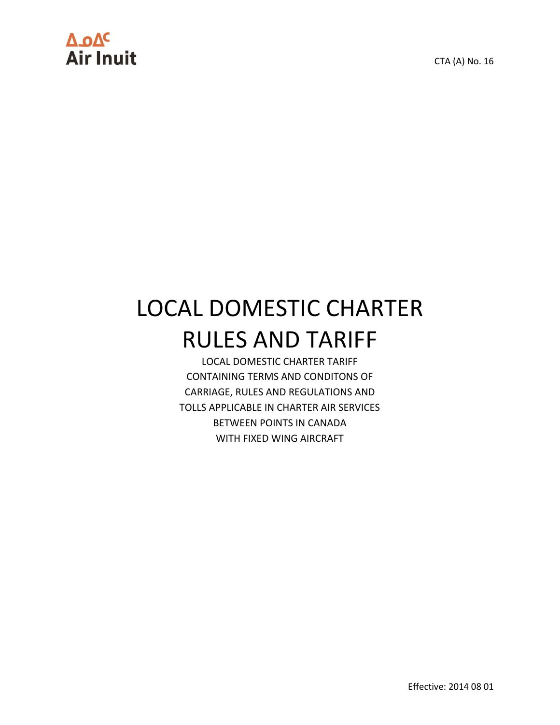# ΔοΔ<sup>ς</sup><br>Air Inuit

CTA (A) No. 16

## LOCAL DOMESTIC CHARTER RULES AND TARIFF

LOCAL DOMESTIC CHARTER TARIFF CONTAINING TERMS AND CONDITONS OF CARRIAGE, RULES AND REGULATIONS AND TOLLS APPLICABLE IN CHARTER AIR SERVICES BETWEEN POINTS IN CANADA WITH FIXED WING AIRCRAFT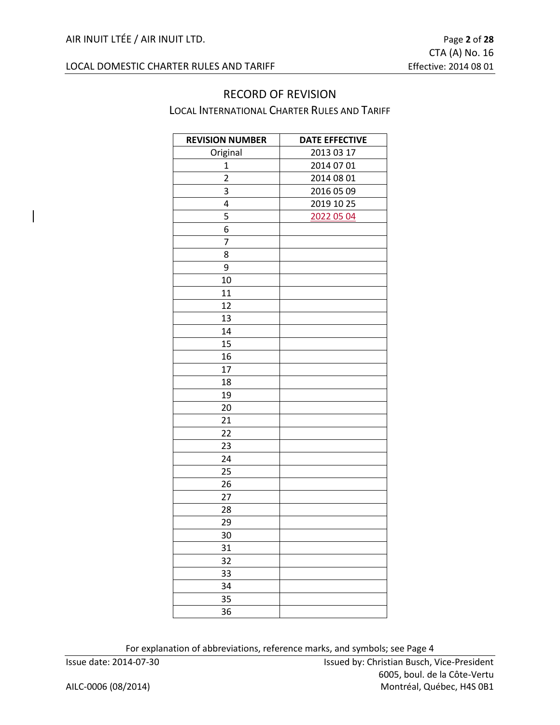#### RECORD OF REVISION LOCAL INTERNATIONAL CHARTER RULES AND TARIFF

| <b>REVISION NUMBER</b> | <b>DATE EFFECTIVE</b> |
|------------------------|-----------------------|
| Original               | 2013 03 17            |
| $\mathbf 1$            | 2014 07 01            |
| $\overline{2}$         | 2014 08 01            |
| 3                      | 2016 05 09            |
| 4                      | 2019 10 25            |
| 5                      | 2022 05 04            |
| 6                      |                       |
| 7                      |                       |
| 8                      |                       |
| 9                      |                       |
| 10                     |                       |
| 11                     |                       |
| 12                     |                       |
| 13                     |                       |
| 14                     |                       |
| 15                     |                       |
| 16                     |                       |
| 17                     |                       |
| 18                     |                       |
| 19                     |                       |
| 20                     |                       |
| 21                     |                       |
| 22                     |                       |
| 23                     |                       |
| 24                     |                       |
| 25                     |                       |
| 26                     |                       |
| 27                     |                       |
| 28                     |                       |
| 29                     |                       |
| 30                     |                       |
| 31                     |                       |
| 32                     |                       |
| 33                     |                       |
| 34                     |                       |
| 35                     |                       |
| 36                     |                       |

For explanation of abbreviations, reference marks, and symbols; see Page 4

Issue date: 2014-07-30 Issued by: Christian Busch, Vice-President 6005, boul. de la Côte-Vertu AILC-0006 (08/2014) Montréal, Québec, H4S 0B1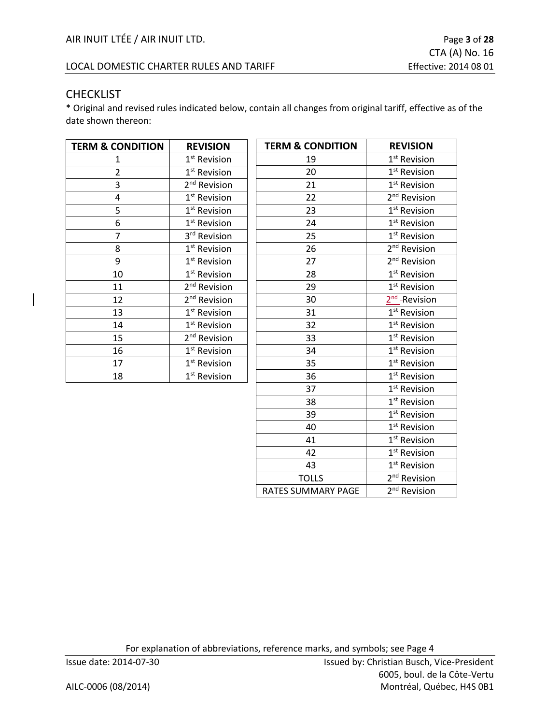#### LOCAL DOMESTIC CHARTER RULES AND TARIFF EFFECTIVE: 2014 08 01

#### CHECKLIST

\* Original and revised rules indicated below, contain all changes from original tariff, effective as of the date shown thereon:

| <b>TERM &amp; CONDITION</b> | <b>REVISION</b>          | <b>TERM &amp; CONDITION</b> | <b>REVISION</b>           |
|-----------------------------|--------------------------|-----------------------------|---------------------------|
| 1                           | 1 <sup>st</sup> Revision | 19                          | 1 <sup>st</sup> Revision  |
| $\overline{2}$              | 1 <sup>st</sup> Revision | 20                          | 1 <sup>st</sup> Revision  |
| 3                           | 2 <sup>nd</sup> Revision | 21                          | 1 <sup>st</sup> Revision  |
| 4                           | 1 <sup>st</sup> Revision | 22                          | 2 <sup>nd</sup> Revision  |
| 5                           | 1 <sup>st</sup> Revision | 23                          | 1 <sup>st</sup> Revision  |
| 6                           | 1 <sup>st</sup> Revision | 24                          | 1 <sup>st</sup> Revision  |
| $\overline{7}$              | 3rd Revision             | 25                          | 1 <sup>st</sup> Revision  |
| 8                           | 1 <sup>st</sup> Revision | 26                          | 2 <sup>nd</sup> Revision  |
| 9                           | 1 <sup>st</sup> Revision | 27                          | 2 <sup>nd</sup> Revision  |
| 10                          | 1 <sup>st</sup> Revision | 28                          | 1 <sup>st</sup> Revision  |
| 11                          | 2 <sup>nd</sup> Revision | 29                          | 1 <sup>st</sup> Revision  |
| 12                          | 2 <sup>nd</sup> Revision | 30                          | 2 <sup>nd</sup> -Revision |
| 13                          | 1 <sup>st</sup> Revision | 31                          | 1 <sup>st</sup> Revision  |
| 14                          | 1 <sup>st</sup> Revision | 32                          | 1 <sup>st</sup> Revision  |
| 15                          | 2 <sup>nd</sup> Revision | 33                          | 1 <sup>st</sup> Revision  |
| 16                          | $1st$ Revision           | 34                          | 1 <sup>st</sup> Revision  |
| 17                          | 1 <sup>st</sup> Revision | 35                          | 1 <sup>st</sup> Revision  |
| 18                          | 1 <sup>st</sup> Revision | 36                          | 1 <sup>st</sup> Revision  |
|                             |                          | 37                          | 1 <sup>st</sup> Revision  |
|                             |                          | 38                          | 1 <sup>st</sup> Revision  |
|                             |                          | 39                          | 1 <sup>st</sup> Revision  |
|                             |                          | 40                          | 1 <sup>st</sup> Revision  |
|                             |                          | 41                          | 1 <sup>st</sup> Revision  |
|                             |                          | 42                          | 1 <sup>st</sup> Revision  |
|                             |                          | 43                          | 1 <sup>st</sup> Revision  |
|                             |                          | <b>TOLLS</b>                | 2 <sup>nd</sup> Revision  |
|                             |                          | <b>RATES SUMMARY PAGE</b>   | 2 <sup>nd</sup> Revision  |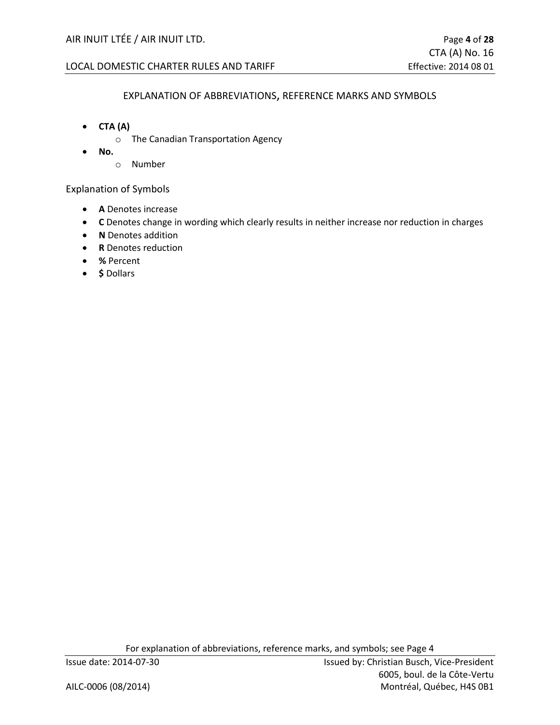#### LOCAL DOMESTIC CHARTER RULES AND TARIFF EFFECTIVE: 2014 08 01

#### EXPLANATION OF ABBREVIATIONS, REFERENCE MARKS AND SYMBOLS

- **CTA (A)**
	- o The Canadian Transportation Agency
- **No.**
	- o Number

Explanation of Symbols

- **A** Denotes increase
- **C** Denotes change in wording which clearly results in neither increase nor reduction in charges
- **N** Denotes addition
- **R** Denotes reduction
- **%** Percent
- **\$** Dollars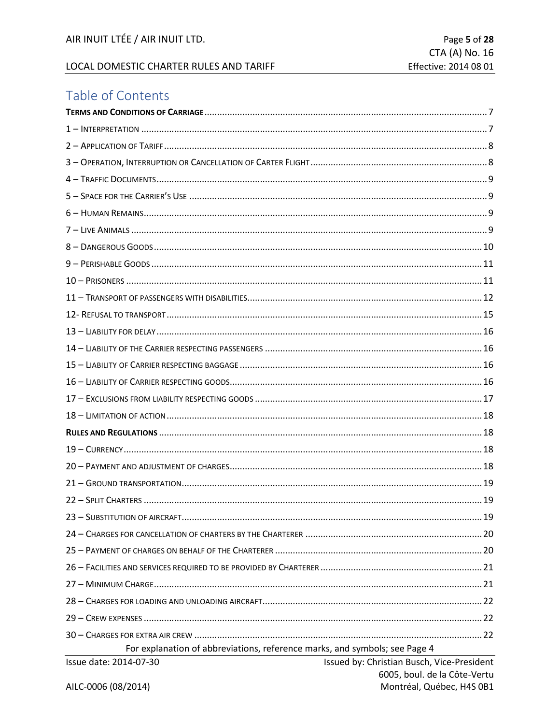#### LOCAL DOMESTIC CHARTER RULES AND TARIFF

## Table of Contents

| For explanation of abbreviations, reference marks, and symbols; see Page 4 |                                            |
|----------------------------------------------------------------------------|--------------------------------------------|
| Issue date: 2014-07-30                                                     | Issued by: Christian Busch, Vice-President |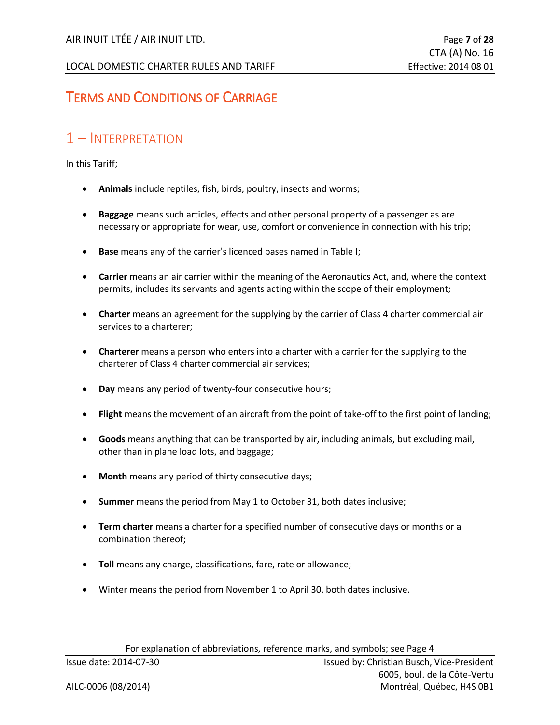## <span id="page-6-0"></span>TERMS AND CONDITIONS OF CARRIAGE

## <span id="page-6-1"></span>1 – INTERPRETATION

In this Tariff;

- **Animals** include reptiles, fish, birds, poultry, insects and worms;
- **Baggage** means such articles, effects and other personal property of a passenger as are necessary or appropriate for wear, use, comfort or convenience in connection with his trip;
- **Base** means any of the carrier's licenced bases named in Table I;
- **Carrier** means an air carrier within the meaning of the Aeronautics Act, and, where the context permits, includes its servants and agents acting within the scope of their employment;
- **Charter** means an agreement for the supplying by the carrier of Class 4 charter commercial air services to a charterer;
- **Charterer** means a person who enters into a charter with a carrier for the supplying to the charterer of Class 4 charter commercial air services;
- **Day** means any period of twenty-four consecutive hours;
- **Flight** means the movement of an aircraft from the point of take-off to the first point of landing;
- **Goods** means anything that can be transported by air, including animals, but excluding mail, other than in plane load lots, and baggage;
- **Month** means any period of thirty consecutive days;
- **Summer** means the period from May 1 to October 31, both dates inclusive;
- **Term charter** means a charter for a specified number of consecutive days or months or a combination thereof;
- **Toll** means any charge, classifications, fare, rate or allowance;
- Winter means the period from November 1 to April 30, both dates inclusive.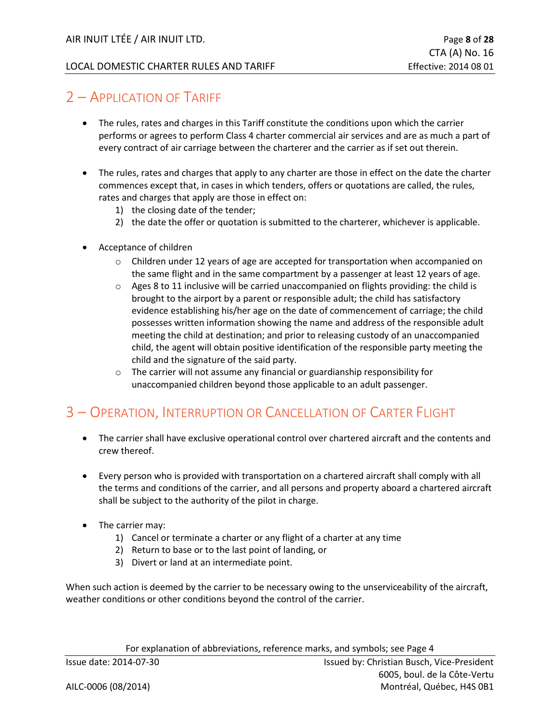## <span id="page-7-0"></span>2 – APPLICATION OF TARIFF

- The rules, rates and charges in this Tariff constitute the conditions upon which the carrier performs or agrees to perform Class 4 charter commercial air services and are as much a part of every contract of air carriage between the charterer and the carrier as if set out therein.
- The rules, rates and charges that apply to any charter are those in effect on the date the charter commences except that, in cases in which tenders, offers or quotations are called, the rules, rates and charges that apply are those in effect on:
	- 1) the closing date of the tender;
	- 2) the date the offer or quotation is submitted to the charterer, whichever is applicable.
- Acceptance of children
	- $\circ$  Children under 12 years of age are accepted for transportation when accompanied on the same flight and in the same compartment by a passenger at least 12 years of age.
	- o Ages 8 to 11 inclusive will be carried unaccompanied on flights providing: the child is brought to the airport by a parent or responsible adult; the child has satisfactory evidence establishing his/her age on the date of commencement of carriage; the child possesses written information showing the name and address of the responsible adult meeting the child at destination; and prior to releasing custody of an unaccompanied child, the agent will obtain positive identification of the responsible party meeting the child and the signature of the said party.
	- o The carrier will not assume any financial or guardianship responsibility for unaccompanied children beyond those applicable to an adult passenger.

## <span id="page-7-1"></span>3 – OPERATION, INTERRUPTION OR CANCELLATION OF CARTER FLIGHT

- The carrier shall have exclusive operational control over chartered aircraft and the contents and crew thereof.
- Every person who is provided with transportation on a chartered aircraft shall comply with all the terms and conditions of the carrier, and all persons and property aboard a chartered aircraft shall be subject to the authority of the pilot in charge.
- The carrier may:
	- 1) Cancel or terminate a charter or any flight of a charter at any time
	- 2) Return to base or to the last point of landing, or
	- 3) Divert or land at an intermediate point.

When such action is deemed by the carrier to be necessary owing to the unserviceability of the aircraft, weather conditions or other conditions beyond the control of the carrier.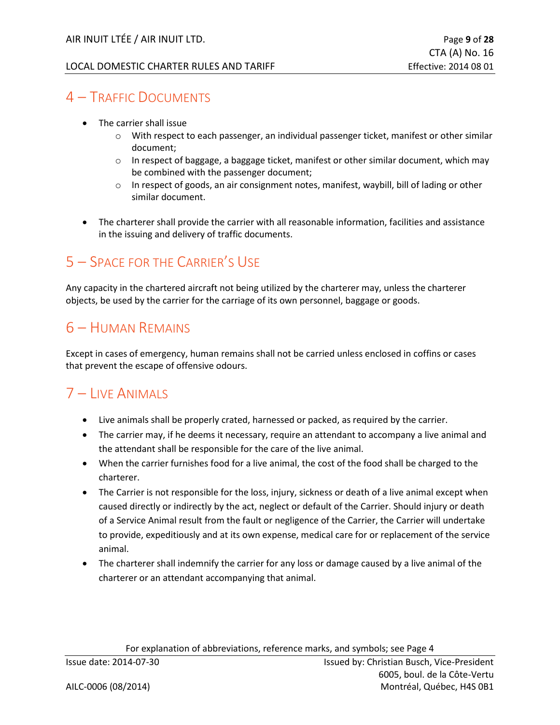## <span id="page-8-0"></span>4 – TRAFFIC DOCUMENTS

- The carrier shall issue
	- o With respect to each passenger, an individual passenger ticket, manifest or other similar document;
	- $\circ$  In respect of baggage, a baggage ticket, manifest or other similar document, which may be combined with the passenger document;
	- $\circ$  In respect of goods, an air consignment notes, manifest, waybill, bill of lading or other similar document.
- The charterer shall provide the carrier with all reasonable information, facilities and assistance in the issuing and delivery of traffic documents.

## <span id="page-8-1"></span>5 – SPACE FOR THE CARRIER'S USE

Any capacity in the chartered aircraft not being utilized by the charterer may, unless the charterer objects, be used by the carrier for the carriage of its own personnel, baggage or goods.

## <span id="page-8-2"></span>6 – HUMAN REMAINS

Except in cases of emergency, human remains shall not be carried unless enclosed in coffins or cases that prevent the escape of offensive odours.

## <span id="page-8-3"></span>7 – LIVE ANIMALS

- Live animals shall be properly crated, harnessed or packed, as required by the carrier.
- The carrier may, if he deems it necessary, require an attendant to accompany a live animal and the attendant shall be responsible for the care of the live animal.
- When the carrier furnishes food for a live animal, the cost of the food shall be charged to the charterer.
- The Carrier is not responsible for the loss, injury, sickness or death of a live animal except when caused directly or indirectly by the act, neglect or default of the Carrier. Should injury or death of a Service Animal result from the fault or negligence of the Carrier, the Carrier will undertake to provide, expeditiously and at its own expense, medical care for or replacement of the service animal.
- The charterer shall indemnify the carrier for any loss or damage caused by a live animal of the charterer or an attendant accompanying that animal.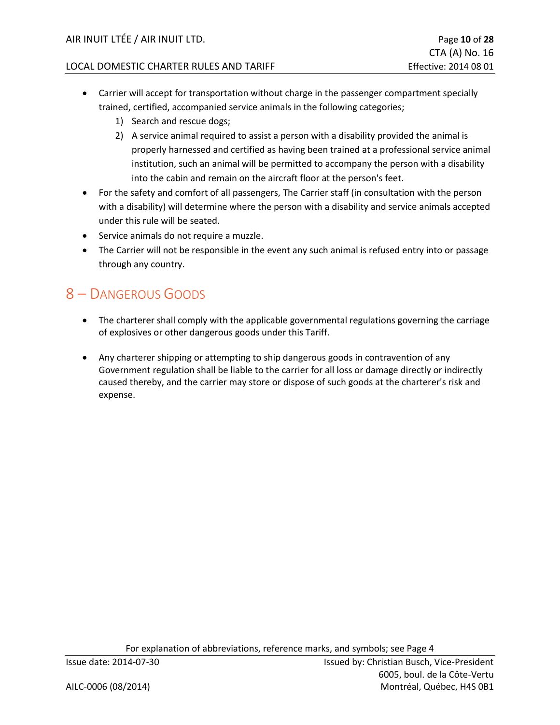- Carrier will accept for transportation without charge in the passenger compartment specially trained, certified, accompanied service animals in the following categories;
	- 1) Search and rescue dogs;
	- 2) A service animal required to assist a person with a disability provided the animal is properly harnessed and certified as having been trained at a professional service animal institution, such an animal will be permitted to accompany the person with a disability into the cabin and remain on the aircraft floor at the person's feet.
- For the safety and comfort of all passengers, The Carrier staff (in consultation with the person with a disability) will determine where the person with a disability and service animals accepted under this rule will be seated.
- Service animals do not require a muzzle.
- The Carrier will not be responsible in the event any such animal is refused entry into or passage through any country.

## <span id="page-9-0"></span>8 – DANGEROUS GOODS

- The charterer shall comply with the applicable governmental regulations governing the carriage of explosives or other dangerous goods under this Tariff.
- Any charterer shipping or attempting to ship dangerous goods in contravention of any Government regulation shall be liable to the carrier for all loss or damage directly or indirectly caused thereby, and the carrier may store or dispose of such goods at the charterer's risk and expense.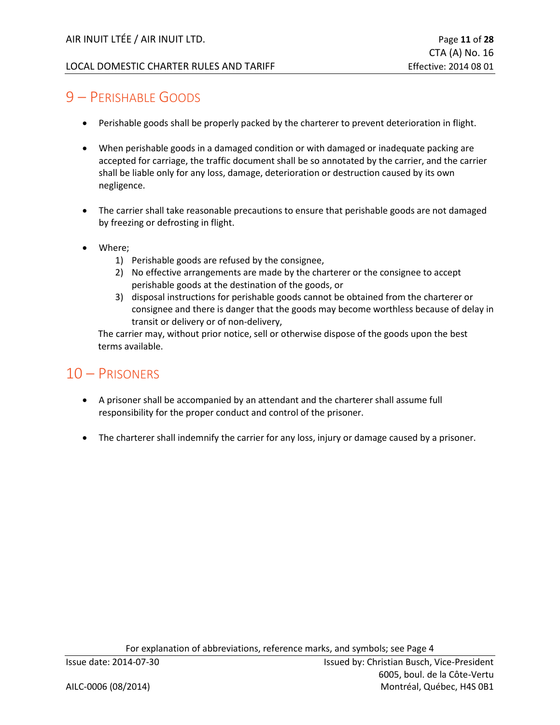## <span id="page-10-0"></span>9 – PERISHABLE GOODS

- Perishable goods shall be properly packed by the charterer to prevent deterioration in flight.
- When perishable goods in a damaged condition or with damaged or inadequate packing are accepted for carriage, the traffic document shall be so annotated by the carrier, and the carrier shall be liable only for any loss, damage, deterioration or destruction caused by its own negligence.
- The carrier shall take reasonable precautions to ensure that perishable goods are not damaged by freezing or defrosting in flight.
- Where;
	- 1) Perishable goods are refused by the consignee,
	- 2) No effective arrangements are made by the charterer or the consignee to accept perishable goods at the destination of the goods, or
	- 3) disposal instructions for perishable goods cannot be obtained from the charterer or consignee and there is danger that the goods may become worthless because of delay in transit or delivery or of non-delivery,

The carrier may, without prior notice, sell or otherwise dispose of the goods upon the best terms available.

## <span id="page-10-1"></span>10 – PRISONERS

- A prisoner shall be accompanied by an attendant and the charterer shall assume full responsibility for the proper conduct and control of the prisoner.
- The charterer shall indemnify the carrier for any loss, injury or damage caused by a prisoner.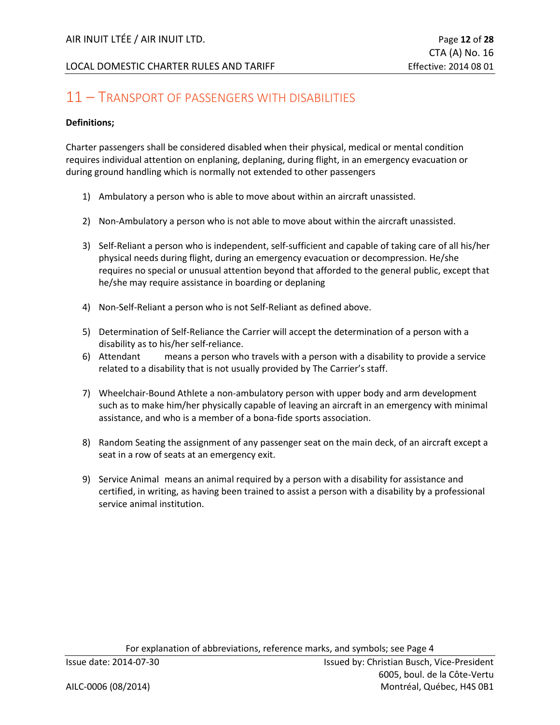## <span id="page-11-0"></span>11 – TRANSPORT OF PASSENGERS WITH DISABILITIES

#### **Definitions;**

Charter passengers shall be considered disabled when their physical, medical or mental condition requires individual attention on enplaning, deplaning, during flight, in an emergency evacuation or during ground handling which is normally not extended to other passengers

- 1) Ambulatory a person who is able to move about within an aircraft unassisted.
- 2) Non-Ambulatory a person who is not able to move about within the aircraft unassisted.
- 3) Self-Reliant a person who is independent, self-sufficient and capable of taking care of all his/her physical needs during flight, during an emergency evacuation or decompression. He/she requires no special or unusual attention beyond that afforded to the general public, except that he/she may require assistance in boarding or deplaning
- 4) Non-Self-Reliant a person who is not Self-Reliant as defined above.
- 5) Determination of Self-Reliance the Carrier will accept the determination of a person with a disability as to his/her self-reliance.
- 6) Attendant means a person who travels with a person with a disability to provide a service related to a disability that is not usually provided by The Carrier's staff.
- 7) Wheelchair-Bound Athlete a non-ambulatory person with upper body and arm development such as to make him/her physically capable of leaving an aircraft in an emergency with minimal assistance, and who is a member of a bona-fide sports association.
- 8) Random Seating the assignment of any passenger seat on the main deck, of an aircraft except a seat in a row of seats at an emergency exit.
- 9) Service Animal means an animal required by a person with a disability for assistance and certified, in writing, as having been trained to assist a person with a disability by a professional service animal institution.

For explanation of abbreviations, reference marks, and symbols; see Page 4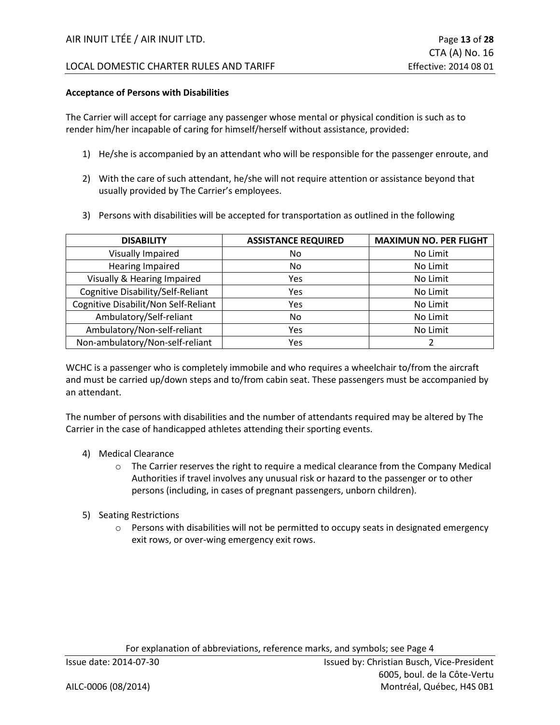#### **Acceptance of Persons with Disabilities**

The Carrier will accept for carriage any passenger whose mental or physical condition is such as to render him/her incapable of caring for himself/herself without assistance, provided:

- 1) He/she is accompanied by an attendant who will be responsible for the passenger enroute, and
- 2) With the care of such attendant, he/she will not require attention or assistance beyond that usually provided by The Carrier's employees.
- 3) Persons with disabilities will be accepted for transportation as outlined in the following

| <b>DISABILITY</b>                    | <b>ASSISTANCE REQUIRED</b> | <b>MAXIMUN NO. PER FLIGHT</b> |
|--------------------------------------|----------------------------|-------------------------------|
| Visually Impaired                    | No.                        | No Limit                      |
| <b>Hearing Impaired</b>              | No                         | No Limit                      |
| Visually & Hearing Impaired          | Yes                        | No Limit                      |
| Cognitive Disability/Self-Reliant    | Yes                        | No Limit                      |
| Cognitive Disabilit/Non Self-Reliant | Yes                        | No Limit                      |
| Ambulatory/Self-reliant              | No.                        | No Limit                      |
| Ambulatory/Non-self-reliant          | Yes                        | No Limit                      |
| Non-ambulatory/Non-self-reliant      | Yes                        |                               |

WCHC is a passenger who is completely immobile and who requires a wheelchair to/from the aircraft and must be carried up/down steps and to/from cabin seat. These passengers must be accompanied by an attendant.

The number of persons with disabilities and the number of attendants required may be altered by The Carrier in the case of handicapped athletes attending their sporting events.

- 4) Medical Clearance
	- $\circ$  The Carrier reserves the right to require a medical clearance from the Company Medical Authorities if travel involves any unusual risk or hazard to the passenger or to other persons (including, in cases of pregnant passengers, unborn children).
- 5) Seating Restrictions
	- $\circ$  Persons with disabilities will not be permitted to occupy seats in designated emergency exit rows, or over-wing emergency exit rows.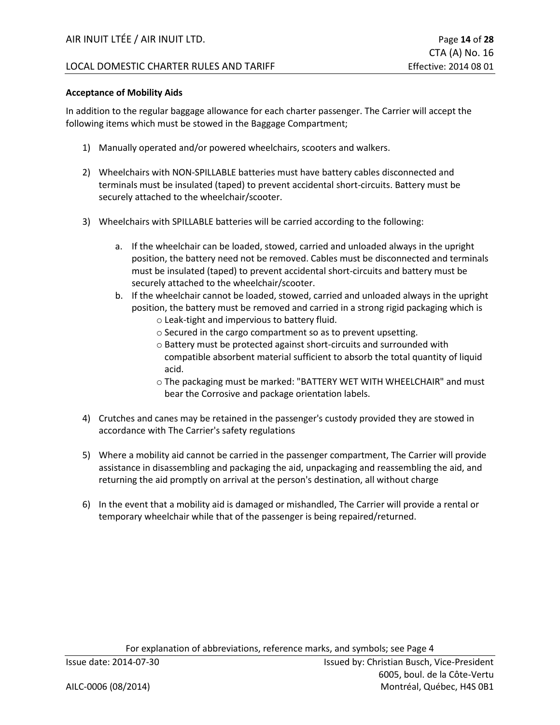#### LOCAL DOMESTIC CHARTER RULES AND TARIFF **Example 2014 12 and SOST** Effective: 2014 08 01

#### **Acceptance of Mobility Aids**

In addition to the regular baggage allowance for each charter passenger. The Carrier will accept the following items which must be stowed in the Baggage Compartment;

- 1) Manually operated and/or powered wheelchairs, scooters and walkers.
- 2) Wheelchairs with NON-SPILLABLE batteries must have battery cables disconnected and terminals must be insulated (taped) to prevent accidental short-circuits. Battery must be securely attached to the wheelchair/scooter.
- 3) Wheelchairs with SPILLABLE batteries will be carried according to the following:
	- a. If the wheelchair can be loaded, stowed, carried and unloaded always in the upright position, the battery need not be removed. Cables must be disconnected and terminals must be insulated (taped) to prevent accidental short-circuits and battery must be securely attached to the wheelchair/scooter.
	- b. If the wheelchair cannot be loaded, stowed, carried and unloaded always in the upright position, the battery must be removed and carried in a strong rigid packaging which is
		- o Leak-tight and impervious to battery fluid.
		- o Secured in the cargo compartment so as to prevent upsetting.
		- o Battery must be protected against short-circuits and surrounded with compatible absorbent material sufficient to absorb the total quantity of liquid acid.
		- o The packaging must be marked: "BATTERY WET WITH WHEELCHAIR" and must bear the Corrosive and package orientation labels.
- 4) Crutches and canes may be retained in the passenger's custody provided they are stowed in accordance with The Carrier's safety regulations
- 5) Where a mobility aid cannot be carried in the passenger compartment, The Carrier will provide assistance in disassembling and packaging the aid, unpackaging and reassembling the aid, and returning the aid promptly on arrival at the person's destination, all without charge
- 6) In the event that a mobility aid is damaged or mishandled, The Carrier will provide a rental or temporary wheelchair while that of the passenger is being repaired/returned.

For explanation of abbreviations, reference marks, and symbols; see Page 4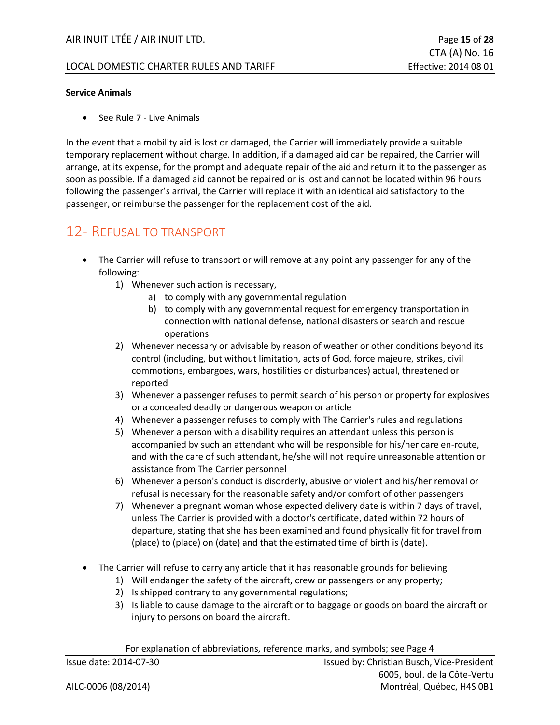#### **Service Animals**

• See Rule 7 - Live Animals

In the event that a mobility aid is lost or damaged, the Carrier will immediately provide a suitable temporary replacement without charge. In addition, if a damaged aid can be repaired, the Carrier will arrange, at its expense, for the prompt and adequate repair of the aid and return it to the passenger as soon as possible. If a damaged aid cannot be repaired or is lost and cannot be located within 96 hours following the passenger's arrival, the Carrier will replace it with an identical aid satisfactory to the passenger, or reimburse the passenger for the replacement cost of the aid.

#### <span id="page-14-0"></span>12- REFUSAL TO TRANSPORT

- The Carrier will refuse to transport or will remove at any point any passenger for any of the following:
	- 1) Whenever such action is necessary,
		- a) to comply with any governmental regulation
		- b) to comply with any governmental request for emergency transportation in connection with national defense, national disasters or search and rescue operations
	- 2) Whenever necessary or advisable by reason of weather or other conditions beyond its control (including, but without limitation, acts of God, force majeure, strikes, civil commotions, embargoes, wars, hostilities or disturbances) actual, threatened or reported
	- 3) Whenever a passenger refuses to permit search of his person or property for explosives or a concealed deadly or dangerous weapon or article
	- 4) Whenever a passenger refuses to comply with The Carrier's rules and regulations
	- 5) Whenever a person with a disability requires an attendant unless this person is accompanied by such an attendant who will be responsible for his/her care en-route, and with the care of such attendant, he/she will not require unreasonable attention or assistance from The Carrier personnel
	- 6) Whenever a person's conduct is disorderly, abusive or violent and his/her removal or refusal is necessary for the reasonable safety and/or comfort of other passengers
	- 7) Whenever a pregnant woman whose expected delivery date is within 7 days of travel, unless The Carrier is provided with a doctor's certificate, dated within 72 hours of departure, stating that she has been examined and found physically fit for travel from (place) to (place) on (date) and that the estimated time of birth is (date).
- The Carrier will refuse to carry any article that it has reasonable grounds for believing
	- 1) Will endanger the safety of the aircraft, crew or passengers or any property;
	- 2) Is shipped contrary to any governmental regulations;
	- 3) Is liable to cause damage to the aircraft or to baggage or goods on board the aircraft or injury to persons on board the aircraft.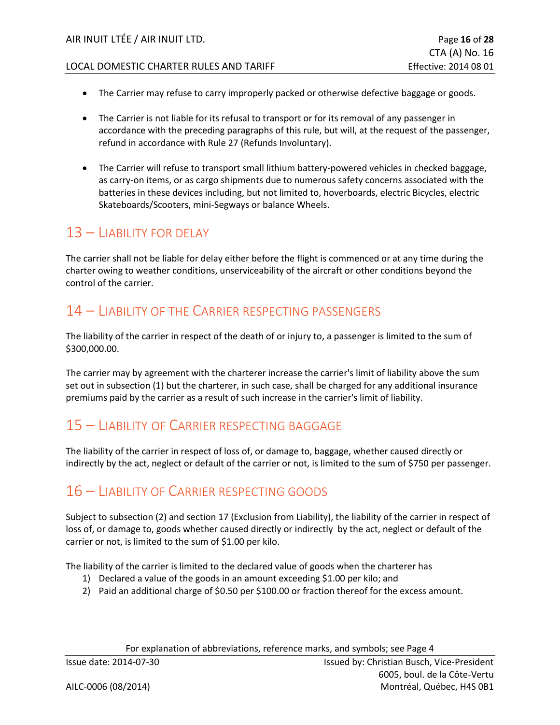- The Carrier may refuse to carry improperly packed or otherwise defective baggage or goods.
- The Carrier is not liable for its refusal to transport or for its removal of any passenger in accordance with the preceding paragraphs of this rule, but will, at the request of the passenger, refund in accordance with Rule 27 (Refunds Involuntary).
- The Carrier will refuse to transport small lithium battery-powered vehicles in checked baggage, as carry-on items, or as cargo shipments due to numerous safety concerns associated with the batteries in these devices including, but not limited to, hoverboards, electric Bicycles, electric Skateboards/Scooters, mini-Segways or balance Wheels.

## <span id="page-15-0"></span>13 – LIABILITY FOR DELAY

The carrier shall not be liable for delay either before the flight is commenced or at any time during the charter owing to weather conditions, unserviceability of the aircraft or other conditions beyond the control of the carrier.

## <span id="page-15-1"></span>14 – LIABILITY OF THE CARRIER RESPECTING PASSENGERS

The liability of the carrier in respect of the death of or injury to, a passenger is limited to the sum of \$300,000.00.

The carrier may by agreement with the charterer increase the carrier's limit of liability above the sum set out in subsection (1) but the charterer, in such case, shall be charged for any additional insurance premiums paid by the carrier as a result of such increase in the carrier's limit of liability.

## <span id="page-15-2"></span>15 – LIABILITY OF CARRIER RESPECTING BAGGAGE

The liability of the carrier in respect of loss of, or damage to, baggage, whether caused directly or indirectly by the act, neglect or default of the carrier or not, is limited to the sum of \$750 per passenger.

## <span id="page-15-3"></span>16 – LIABILITY OF CARRIER RESPECTING GOODS

Subject to subsection (2) and section 17 (Exclusion from Liability), the liability of the carrier in respect of loss of, or damage to, goods whether caused directly or indirectly by the act, neglect or default of the carrier or not, is limited to the sum of \$1.00 per kilo.

The liability of the carrier is limited to the declared value of goods when the charterer has

- 1) Declared a value of the goods in an amount exceeding \$1.00 per kilo; and
- 2) Paid an additional charge of \$0.50 per \$100.00 or fraction thereof for the excess amount.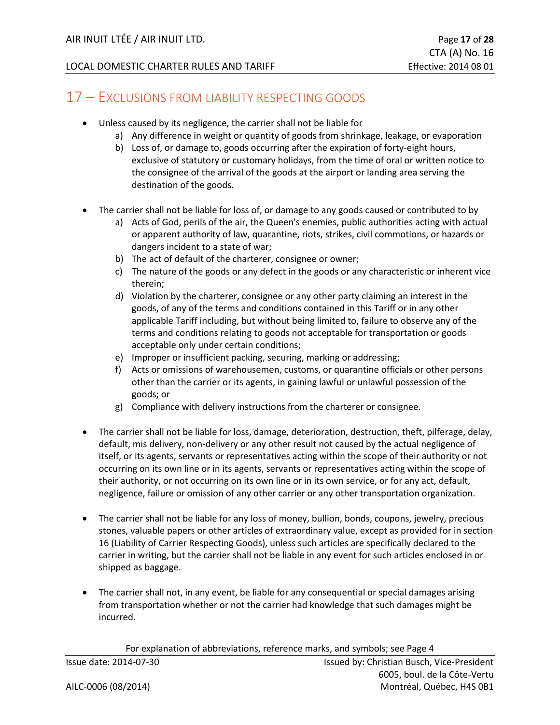#### <span id="page-16-0"></span>17 – EXCLUSIONS FROM LIABILITY RESPECTING GOODS

- Unless caused by its negligence, the carrier shall not be liable for
	- a) Any difference in weight or quantity of goods from shrinkage, leakage, or evaporation
	- b) Loss of, or damage to, goods occurring after the expiration of forty-eight hours, exclusive of statutory or customary holidays, from the time of oral or written notice to the consignee of the arrival of the goods at the airport or landing area serving the destination of the goods.
- The carrier shall not be liable for loss of, or damage to any goods caused or contributed to by
	- a) Acts of God, perils of the air, the Queen's enemies, public authorities acting with actual or apparent authority of law, quarantine, riots, strikes, civil commotions, or hazards or dangers incident to a state of war;
	- b) The act of default of the charterer, consignee or owner;
	- c) The nature of the goods or any defect in the goods or any characteristic or inherent vice therein;
	- d) Violation by the charterer, consignee or any other party claiming an interest in the goods, of any of the terms and conditions contained in this Tariff or in any other applicable Tariff including, but without being limited to, failure to observe any of the terms and conditions relating to goods not acceptable for transportation or goods acceptable only under certain conditions;
	- e) Improper or insufficient packing, securing, marking or addressing;
	- f) Acts or omissions of warehousemen, customs, or quarantine officials or other persons other than the carrier or its agents, in gaining lawful or unlawful possession of the goods; or
	- g) Compliance with delivery instructions from the charterer or consignee.
- The carrier shall not be liable for loss, damage, deterioration, destruction, theft, pilferage, delay, default, mis delivery, non-delivery or any other result not caused by the actual negligence of itself, or its agents, servants or representatives acting within the scope of their authority or not occurring on its own line or in its agents, servants or representatives acting within the scope of their authority, or not occurring on its own line or in its own service, or for any act, default, negligence, failure or omission of any other carrier or any other transportation organization.
- The carrier shall not be liable for any loss of money, bullion, bonds, coupons, jewelry, precious stones, valuable papers or other articles of extraordinary value, except as provided for in section 16 (Liability of Carrier Respecting Goods), unless such articles are specifically declared to the carrier in writing, but the carrier shall not be liable in any event for such articles enclosed in or shipped as baggage.
- The carrier shall not, in any event, be liable for any consequential or special damages arising from transportation whether or not the carrier had knowledge that such damages might be incurred.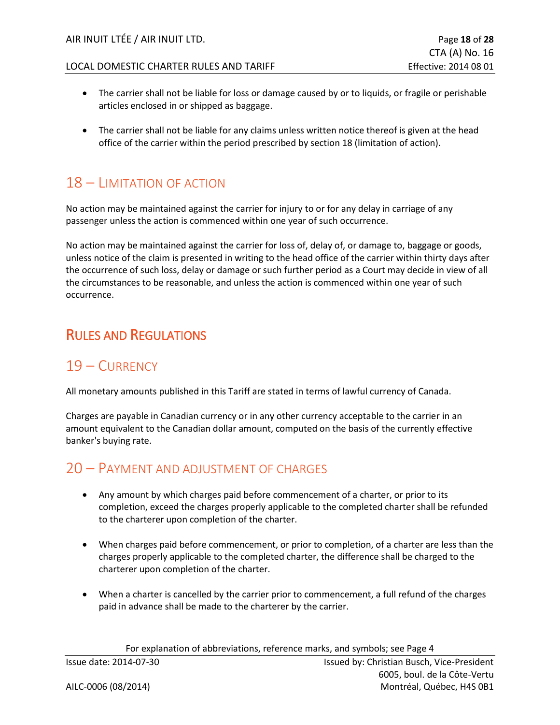- The carrier shall not be liable for loss or damage caused by or to liquids, or fragile or perishable articles enclosed in or shipped as baggage.
- The carrier shall not be liable for any claims unless written notice thereof is given at the head office of the carrier within the period prescribed by section 18 (limitation of action).

## <span id="page-17-0"></span>18 – LIMITATION OF ACTION

No action may be maintained against the carrier for injury to or for any delay in carriage of any passenger unless the action is commenced within one year of such occurrence.

No action may be maintained against the carrier for loss of, delay of, or damage to, baggage or goods, unless notice of the claim is presented in writing to the head office of the carrier within thirty days after the occurrence of such loss, delay or damage or such further period as a Court may decide in view of all the circumstances to be reasonable, and unless the action is commenced within one year of such occurrence.

## <span id="page-17-1"></span>RULES AND REGULATIONS

## <span id="page-17-2"></span>19 – CURRENCY

All monetary amounts published in this Tariff are stated in terms of lawful currency of Canada.

Charges are payable in Canadian currency or in any other currency acceptable to the carrier in an amount equivalent to the Canadian dollar amount, computed on the basis of the currently effective banker's buying rate.

## <span id="page-17-3"></span>20 – PAYMENT AND ADJUSTMENT OF CHARGES

- Any amount by which charges paid before commencement of a charter, or prior to its completion, exceed the charges properly applicable to the completed charter shall be refunded to the charterer upon completion of the charter.
- When charges paid before commencement, or prior to completion, of a charter are less than the charges properly applicable to the completed charter, the difference shall be charged to the charterer upon completion of the charter.
- When a charter is cancelled by the carrier prior to commencement, a full refund of the charges paid in advance shall be made to the charterer by the carrier.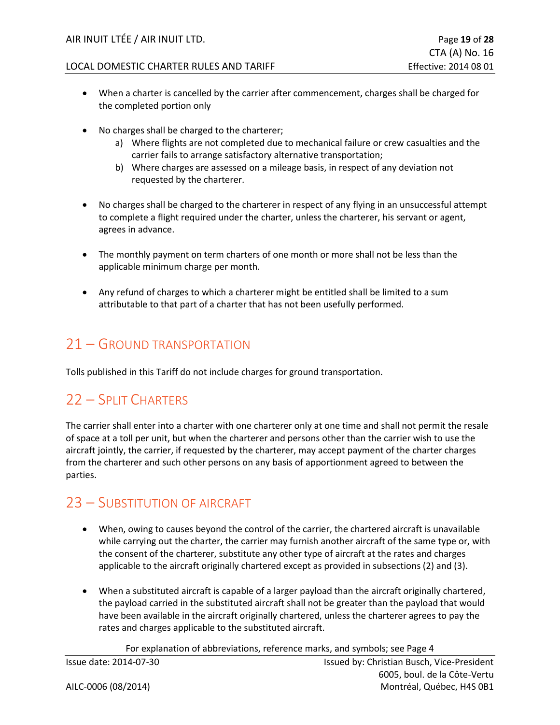- When a charter is cancelled by the carrier after commencement, charges shall be charged for the completed portion only
- No charges shall be charged to the charterer;
	- a) Where flights are not completed due to mechanical failure or crew casualties and the carrier fails to arrange satisfactory alternative transportation;
	- b) Where charges are assessed on a mileage basis, in respect of any deviation not requested by the charterer.
- No charges shall be charged to the charterer in respect of any flying in an unsuccessful attempt to complete a flight required under the charter, unless the charterer, his servant or agent, agrees in advance.
- The monthly payment on term charters of one month or more shall not be less than the applicable minimum charge per month.
- Any refund of charges to which a charterer might be entitled shall be limited to a sum attributable to that part of a charter that has not been usefully performed.

## <span id="page-18-0"></span>21 – GROUND TRANSPORTATION

<span id="page-18-1"></span>Tolls published in this Tariff do not include charges for ground transportation.

## 22 – SPLIT CHARTERS

The carrier shall enter into a charter with one charterer only at one time and shall not permit the resale of space at a toll per unit, but when the charterer and persons other than the carrier wish to use the aircraft jointly, the carrier, if requested by the charterer, may accept payment of the charter charges from the charterer and such other persons on any basis of apportionment agreed to between the parties.

## <span id="page-18-2"></span>23 – SUBSTITUTION OF AIRCRAFT

- When, owing to causes beyond the control of the carrier, the chartered aircraft is unavailable while carrying out the charter, the carrier may furnish another aircraft of the same type or, with the consent of the charterer, substitute any other type of aircraft at the rates and charges applicable to the aircraft originally chartered except as provided in subsections (2) and (3).
- When a substituted aircraft is capable of a larger payload than the aircraft originally chartered, the payload carried in the substituted aircraft shall not be greater than the payload that would have been available in the aircraft originally chartered, unless the charterer agrees to pay the rates and charges applicable to the substituted aircraft.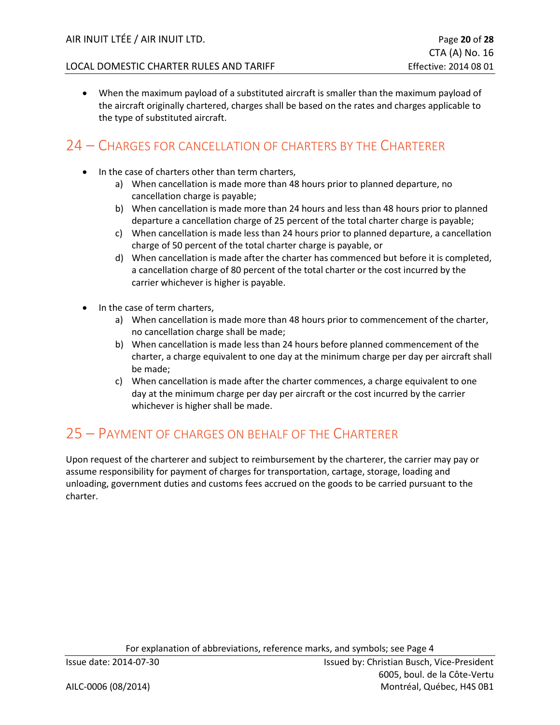• When the maximum payload of a substituted aircraft is smaller than the maximum payload of the aircraft originally chartered, charges shall be based on the rates and charges applicable to the type of substituted aircraft.

#### <span id="page-19-0"></span>24 – CHARGES FOR CANCELLATION OF CHARTERS BY THE CHARTERER

- In the case of charters other than term charters,
	- a) When cancellation is made more than 48 hours prior to planned departure, no cancellation charge is payable;
	- b) When cancellation is made more than 24 hours and less than 48 hours prior to planned departure a cancellation charge of 25 percent of the total charter charge is payable;
	- c) When cancellation is made less than 24 hours prior to planned departure, a cancellation charge of 50 percent of the total charter charge is payable, or
	- d) When cancellation is made after the charter has commenced but before it is completed, a cancellation charge of 80 percent of the total charter or the cost incurred by the carrier whichever is higher is payable.
- In the case of term charters,
	- a) When cancellation is made more than 48 hours prior to commencement of the charter, no cancellation charge shall be made;
	- b) When cancellation is made less than 24 hours before planned commencement of the charter, a charge equivalent to one day at the minimum charge per day per aircraft shall be made;
	- c) When cancellation is made after the charter commences, a charge equivalent to one day at the minimum charge per day per aircraft or the cost incurred by the carrier whichever is higher shall be made.

## <span id="page-19-1"></span>25 – PAYMENT OF CHARGES ON BEHALF OF THE CHARTERER

Upon request of the charterer and subject to reimbursement by the charterer, the carrier may pay or assume responsibility for payment of charges for transportation, cartage, storage, loading and unloading, government duties and customs fees accrued on the goods to be carried pursuant to the charter.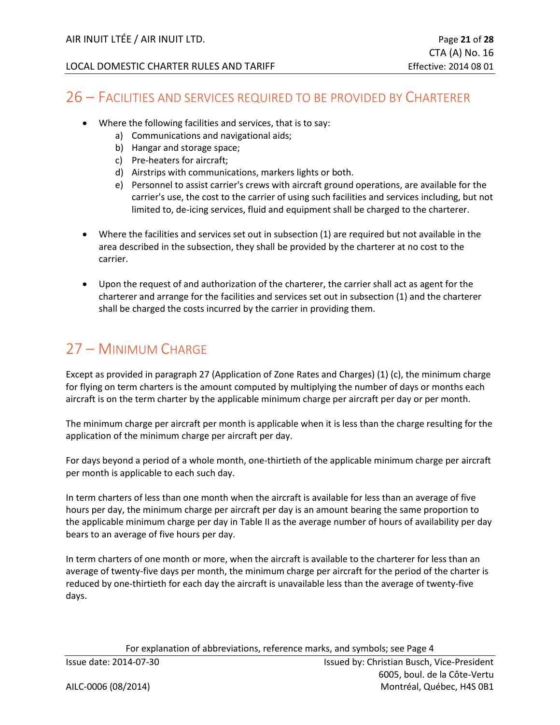#### <span id="page-20-0"></span>26 – FACILITIES AND SERVICES REQUIRED TO BE PROVIDED BY CHARTERER

- Where the following facilities and services, that is to say:
	- a) Communications and navigational aids;
	- b) Hangar and storage space;
	- c) Pre-heaters for aircraft;
	- d) Airstrips with communications, markers lights or both.
	- e) Personnel to assist carrier's crews with aircraft ground operations, are available for the carrier's use, the cost to the carrier of using such facilities and services including, but not limited to, de-icing services, fluid and equipment shall be charged to the charterer.
- Where the facilities and services set out in subsection (1) are required but not available in the area described in the subsection, they shall be provided by the charterer at no cost to the carrier.
- Upon the request of and authorization of the charterer, the carrier shall act as agent for the charterer and arrange for the facilities and services set out in subsection (1) and the charterer shall be charged the costs incurred by the carrier in providing them.

## <span id="page-20-1"></span>27 – MINIMUM CHARGE

Except as provided in paragraph 27 (Application of Zone Rates and Charges) (1) (c), the minimum charge for flying on term charters is the amount computed by multiplying the number of days or months each aircraft is on the term charter by the applicable minimum charge per aircraft per day or per month.

The minimum charge per aircraft per month is applicable when it is less than the charge resulting for the application of the minimum charge per aircraft per day.

For days beyond a period of a whole month, one-thirtieth of the applicable minimum charge per aircraft per month is applicable to each such day.

In term charters of less than one month when the aircraft is available for less than an average of five hours per day, the minimum charge per aircraft per day is an amount bearing the same proportion to the applicable minimum charge per day in Table II as the average number of hours of availability per day bears to an average of five hours per day.

In term charters of one month or more, when the aircraft is available to the charterer for less than an average of twenty-five days per month, the minimum charge per aircraft for the period of the charter is reduced by one-thirtieth for each day the aircraft is unavailable less than the average of twenty-five days.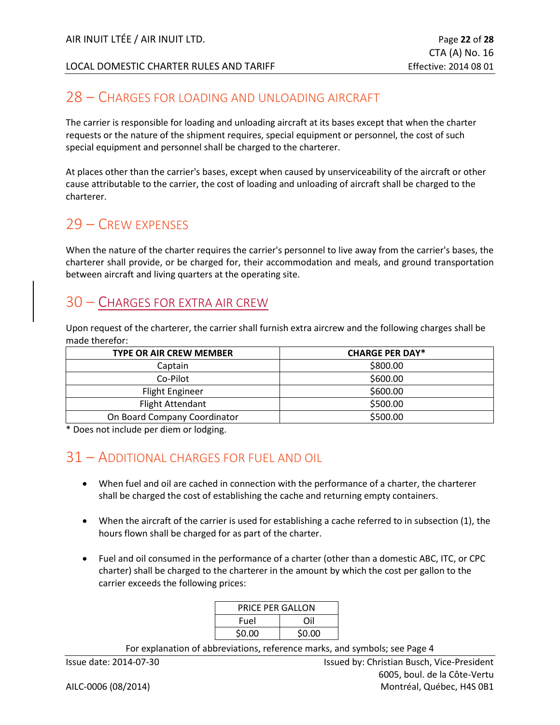#### <span id="page-21-0"></span>28 – CHARGES FOR LOADING AND UNLOADING AIRCRAFT

The carrier is responsible for loading and unloading aircraft at its bases except that when the charter requests or the nature of the shipment requires, special equipment or personnel, the cost of such special equipment and personnel shall be charged to the charterer.

At places other than the carrier's bases, except when caused by unserviceability of the aircraft or other cause attributable to the carrier, the cost of loading and unloading of aircraft shall be charged to the charterer.

#### <span id="page-21-1"></span>29 – CREW EXPENSES

When the nature of the charter requires the carrier's personnel to live away from the carrier's bases, the charterer shall provide, or be charged for, their accommodation and meals, and ground transportation between aircraft and living quarters at the operating site.

#### <span id="page-21-2"></span>30 – CHARGES FOR EXTRA AIR CREW

Upon request of the charterer, the carrier shall furnish extra aircrew and the following charges shall be made therefor:

| <b>TYPE OR AIR CREW MEMBER</b> | <b>CHARGE PER DAY*</b> |  |
|--------------------------------|------------------------|--|
| Captain                        | \$800.00               |  |
| Co-Pilot                       | \$600.00               |  |
| <b>Flight Engineer</b>         | \$600.00               |  |
| <b>Flight Attendant</b>        | \$500.00               |  |
| On Board Company Coordinator   | \$500.00               |  |

<span id="page-21-3"></span>\* Does not include per diem or lodging.

## 31 – ADDITIONAL CHARGES FOR FUEL AND OIL

- When fuel and oil are cached in connection with the performance of a charter, the charterer shall be charged the cost of establishing the cache and returning empty containers.
- When the aircraft of the carrier is used for establishing a cache referred to in subsection (1), the hours flown shall be charged for as part of the charter.
- Fuel and oil consumed in the performance of a charter (other than a domestic ABC, ITC, or CPC charter) shall be charged to the charterer in the amount by which the cost per gallon to the carrier exceeds the following prices:

| <b>PRICE PER GALLON</b> |        |  |
|-------------------------|--------|--|
| Fuel                    | Ωil    |  |
| \$0.00                  | \$0.00 |  |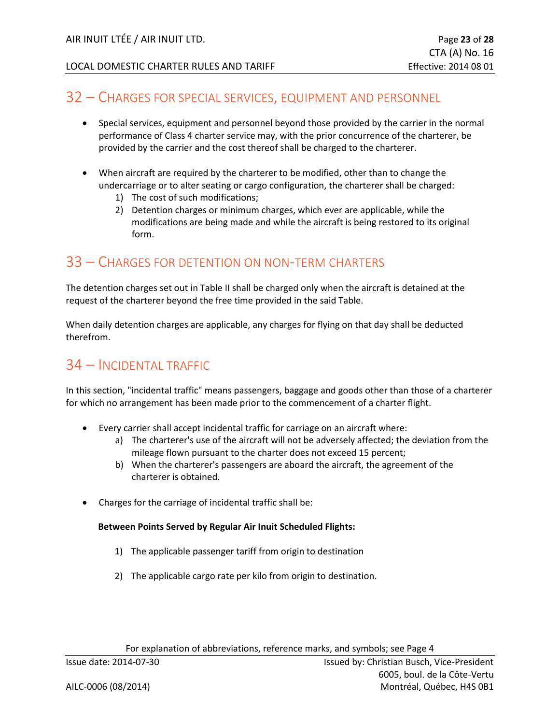#### <span id="page-22-0"></span>32 – CHARGES FOR SPECIAL SERVICES, EQUIPMENT AND PERSONNEL

- Special services, equipment and personnel beyond those provided by the carrier in the normal performance of Class 4 charter service may, with the prior concurrence of the charterer, be provided by the carrier and the cost thereof shall be charged to the charterer.
- When aircraft are required by the charterer to be modified, other than to change the undercarriage or to alter seating or cargo configuration, the charterer shall be charged:
	- 1) The cost of such modifications;
	- 2) Detention charges or minimum charges, which ever are applicable, while the modifications are being made and while the aircraft is being restored to its original form.

#### <span id="page-22-1"></span>33 – CHARGES FOR DETENTION ON NON-TERM CHARTERS

The detention charges set out in Table II shall be charged only when the aircraft is detained at the request of the charterer beyond the free time provided in the said Table.

When daily detention charges are applicable, any charges for flying on that day shall be deducted therefrom.

## <span id="page-22-2"></span>34 – INCIDENTAL TRAFFIC

In this section, "incidental traffic" means passengers, baggage and goods other than those of a charterer for which no arrangement has been made prior to the commencement of a charter flight.

- Every carrier shall accept incidental traffic for carriage on an aircraft where:
	- a) The charterer's use of the aircraft will not be adversely affected; the deviation from the mileage flown pursuant to the charter does not exceed 15 percent;
	- b) When the charterer's passengers are aboard the aircraft, the agreement of the charterer is obtained.
- Charges for the carriage of incidental traffic shall be:

#### **Between Points Served by Regular Air Inuit Scheduled Flights:**

- 1) The applicable passenger tariff from origin to destination
- 2) The applicable cargo rate per kilo from origin to destination.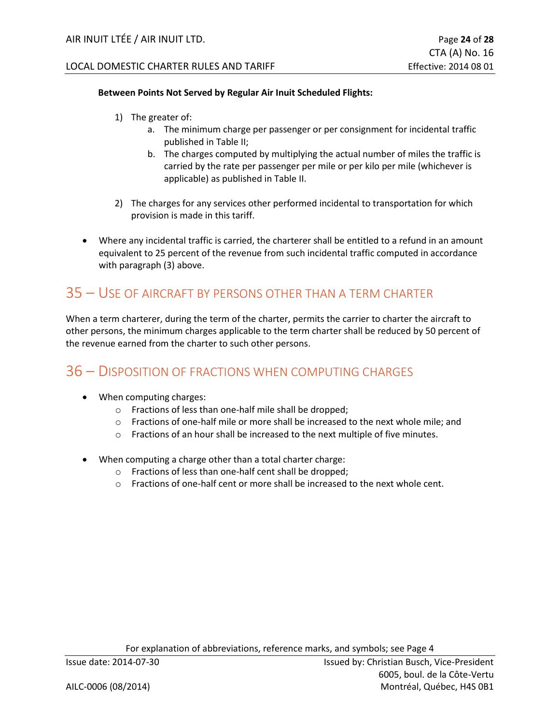#### **Between Points Not Served by Regular Air Inuit Scheduled Flights:**

- 1) The greater of:
	- a. The minimum charge per passenger or per consignment for incidental traffic published in Table II;
	- b. The charges computed by multiplying the actual number of miles the traffic is carried by the rate per passenger per mile or per kilo per mile (whichever is applicable) as published in Table II.
- 2) The charges for any services other performed incidental to transportation for which provision is made in this tariff.
- Where any incidental traffic is carried, the charterer shall be entitled to a refund in an amount equivalent to 25 percent of the revenue from such incidental traffic computed in accordance with paragraph (3) above.

## <span id="page-23-0"></span>35 – USE OF AIRCRAFT BY PERSONS OTHER THAN A TERM CHARTER

When a term charterer, during the term of the charter, permits the carrier to charter the aircraft to other persons, the minimum charges applicable to the term charter shall be reduced by 50 percent of the revenue earned from the charter to such other persons.

## <span id="page-23-1"></span>36 – DISPOSITION OF FRACTIONS WHEN COMPUTING CHARGES

- When computing charges:
	- o Fractions of less than one-half mile shall be dropped;
	- $\circ$  Fractions of one-half mile or more shall be increased to the next whole mile; and
	- $\circ$  Fractions of an hour shall be increased to the next multiple of five minutes.
- When computing a charge other than a total charter charge:
	- o Fractions of less than one-half cent shall be dropped;
	- $\circ$  Fractions of one-half cent or more shall be increased to the next whole cent.

For explanation of abbreviations, reference marks, and symbols; see Page 4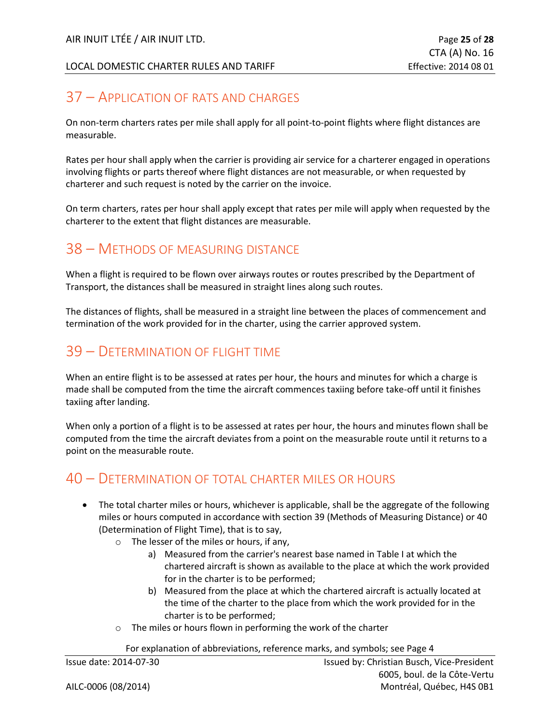## <span id="page-24-0"></span>37 – APPLICATION OF RATS AND CHARGES

On non-term charters rates per mile shall apply for all point-to-point flights where flight distances are measurable.

Rates per hour shall apply when the carrier is providing air service for a charterer engaged in operations involving flights or parts thereof where flight distances are not measurable, or when requested by charterer and such request is noted by the carrier on the invoice.

On term charters, rates per hour shall apply except that rates per mile will apply when requested by the charterer to the extent that flight distances are measurable.

## <span id="page-24-1"></span>38 – METHODS OF MEASURING DISTANCE

When a flight is required to be flown over airways routes or routes prescribed by the Department of Transport, the distances shall be measured in straight lines along such routes.

The distances of flights, shall be measured in a straight line between the places of commencement and termination of the work provided for in the charter, using the carrier approved system.

#### <span id="page-24-2"></span>39 – DETERMINATION OF FLIGHT TIME

When an entire flight is to be assessed at rates per hour, the hours and minutes for which a charge is made shall be computed from the time the aircraft commences taxiing before take-off until it finishes taxiing after landing.

When only a portion of a flight is to be assessed at rates per hour, the hours and minutes flown shall be computed from the time the aircraft deviates from a point on the measurable route until it returns to a point on the measurable route.

## <span id="page-24-3"></span>40 – DETERMINATION OF TOTAL CHARTER MILES OR HOURS

- The total charter miles or hours, whichever is applicable, shall be the aggregate of the following miles or hours computed in accordance with section 39 (Methods of Measuring Distance) or 40 (Determination of Flight Time), that is to say,
	- o The lesser of the miles or hours, if any,
		- a) Measured from the carrier's nearest base named in Table I at which the chartered aircraft is shown as available to the place at which the work provided for in the charter is to be performed;
		- b) Measured from the place at which the chartered aircraft is actually located at the time of the charter to the place from which the work provided for in the charter is to be performed;
	- o The miles or hours flown in performing the work of the charter

For explanation of abbreviations, reference marks, and symbols; see Page 4

|  | Issue date: 2014-07-30 |
|--|------------------------|
|  |                        |

Issued by: Christian Busch, Vice-President 6005, boul. de la Côte-Vertu AILC-0006 (08/2014) Montréal, Québec, H4S 0B1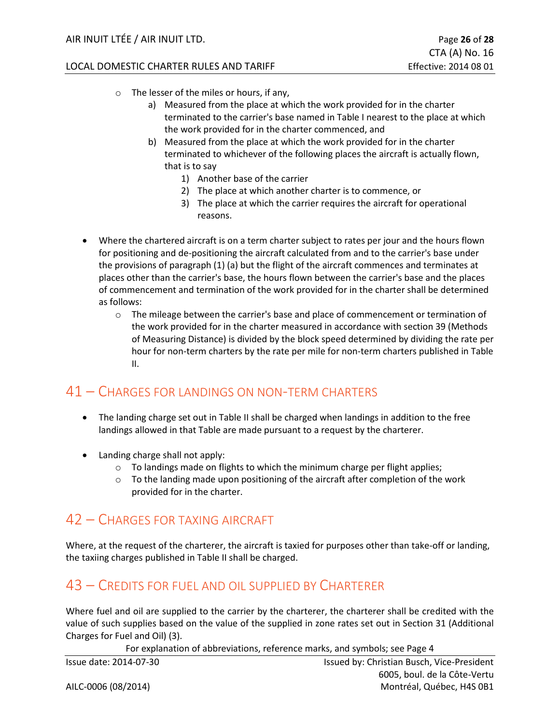- o The lesser of the miles or hours, if any,
	- a) Measured from the place at which the work provided for in the charter terminated to the carrier's base named in Table I nearest to the place at which the work provided for in the charter commenced, and
	- b) Measured from the place at which the work provided for in the charter terminated to whichever of the following places the aircraft is actually flown, that is to say
		- 1) Another base of the carrier
		- 2) The place at which another charter is to commence, or
		- 3) The place at which the carrier requires the aircraft for operational reasons.
- Where the chartered aircraft is on a term charter subject to rates per jour and the hours flown for positioning and de-positioning the aircraft calculated from and to the carrier's base under the provisions of paragraph (1) (a) but the flight of the aircraft commences and terminates at places other than the carrier's base, the hours flown between the carrier's base and the places of commencement and termination of the work provided for in the charter shall be determined as follows:
	- $\circ$  The mileage between the carrier's base and place of commencement or termination of the work provided for in the charter measured in accordance with section 39 (Methods of Measuring Distance) is divided by the block speed determined by dividing the rate per hour for non-term charters by the rate per mile for non-term charters published in Table II.

## <span id="page-25-0"></span>41 – CHARGES FOR LANDINGS ON NON-TERM CHARTERS

- The landing charge set out in Table II shall be charged when landings in addition to the free landings allowed in that Table are made pursuant to a request by the charterer.
- Landing charge shall not apply:
	- o To landings made on flights to which the minimum charge per flight applies;
	- $\circ$  To the landing made upon positioning of the aircraft after completion of the work provided for in the charter.

## <span id="page-25-1"></span>42 – CHARGES FOR TAXING AIRCRAFT

Where, at the request of the charterer, the aircraft is taxied for purposes other than take-off or landing, the taxiing charges published in Table II shall be charged.

## <span id="page-25-2"></span>43 – CREDITS FOR FUEL AND OIL SUPPLIED BY CHARTERER

Where fuel and oil are supplied to the carrier by the charterer, the charterer shall be credited with the value of such supplies based on the value of the supplied in zone rates set out in Section 31 (Additional Charges for Fuel and Oil) (3).

For explanation of abbreviations, reference marks, and symbols; see Page 4

Issue date: 2014-07-30 **ISSUE 2014-07-30** Issued by: Christian Busch, Vice-President 6005, boul. de la Côte-Vertu AILC-0006 (08/2014) Montréal, Québec, H4S 0B1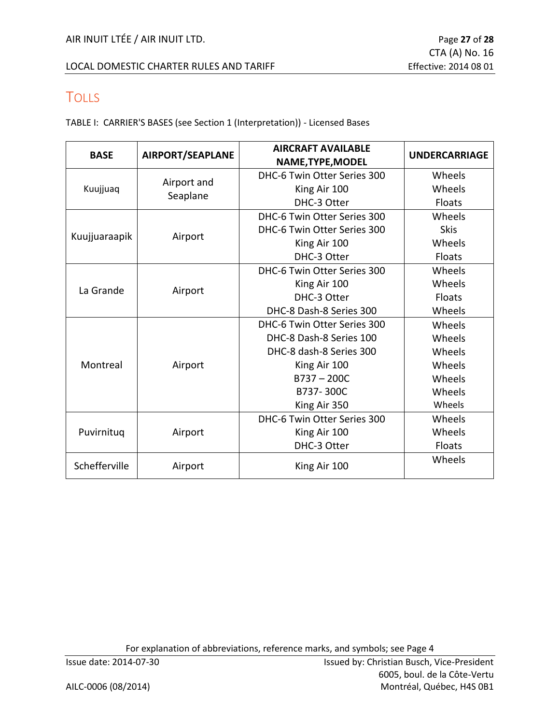## <span id="page-26-0"></span>**TOLLS**

TABLE I: CARRIER'S BASES (see Section 1 (Interpretation)) - Licensed Bases

| <b>BASE</b>   | AIRPORT/SEAPLANE | <b>AIRCRAFT AVAILABLE</b>   |                      |  |
|---------------|------------------|-----------------------------|----------------------|--|
|               |                  | NAME, TYPE, MODEL           | <b>UNDERCARRIAGE</b> |  |
|               |                  | DHC-6 Twin Otter Series 300 | Wheels               |  |
| Kuujjuaq      | Airport and      | King Air 100                | Wheels               |  |
|               | Seaplane         | DHC-3 Otter                 | Floats               |  |
|               |                  | DHC-6 Twin Otter Series 300 | Wheels               |  |
| Kuujjuaraapik |                  | DHC-6 Twin Otter Series 300 | <b>Skis</b>          |  |
|               | Airport          | King Air 100                | Wheels               |  |
|               |                  | DHC-3 Otter                 | Floats               |  |
|               |                  | DHC-6 Twin Otter Series 300 | Wheels               |  |
| La Grande     | Airport          | King Air 100                | Wheels               |  |
|               |                  | DHC-3 Otter                 | <b>Floats</b>        |  |
|               |                  | DHC-8 Dash-8 Series 300     | Wheels               |  |
|               | Airport          | DHC-6 Twin Otter Series 300 | Wheels               |  |
|               |                  | DHC-8 Dash-8 Series 100     | Wheels               |  |
|               |                  | DHC-8 dash-8 Series 300     | Wheels               |  |
| Montreal      |                  | King Air 100                | Wheels               |  |
|               |                  | $B737 - 200C$               | Wheels               |  |
|               |                  | B737-300C                   | Wheels               |  |
|               |                  | King Air 350                | Wheels               |  |
|               |                  | DHC-6 Twin Otter Series 300 | Wheels               |  |
| Puvirnituq    | Airport          | King Air 100                | Wheels               |  |
|               |                  | DHC-3 Otter                 | Floats               |  |
| Schefferville | Airport          | King Air 100                | Wheels               |  |